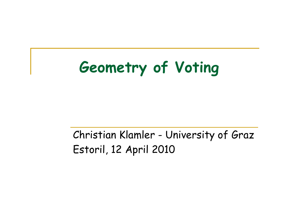## **Geometry of Voting**

#### Christian Klamler - University of Graz Estoril, 12 April 2010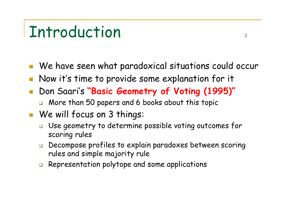### Introduction

- $\mathbb{R}^3$ We have seen what paradoxical situations could occur
- $\mathbb{R}^3$ Now it's time to provide some explanation for it
- $\mathbb{R}^3$  Don Saari's **"Basic Geometry of Voting (1995)"**
	- More than 50 papers and 6 books about this topic
- We will focus on 3 things:
	- $\Box$  Use geometry to determine p ossible voting outcomes for scoring rules
	- $\Box$  Decompose profiles to explain paradoxes between scoring rules and simple majority rule
	- $\Box$ Representation polytope and some applications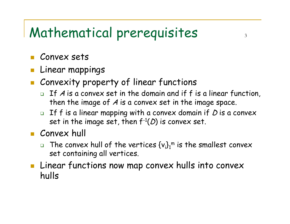### Mathematical prerequisites

- Convex sets
- Linear mappings
- **Each Convexity property of linear functions** 
	- $\Box$  If  $A$  is a convex set in the domain and if  $f$  is a linear function, then the image of A is a conve x set in the image space.
	- $\Box$  $\textcolor{red}{\bullet}$  If f is a linear mapping with a convex domain if  $D$  is a convex set in the image set, then  $f$ -1 $(D)$  is convex set.
- **Convex hull** 
	- $\Box$  $\Box$  The convex hull of the vertices  $\{v_i\}_1^{\text{m}}$  is the smallest convex set containing all vertices.
- $\mathbb{R}^3$  Linear functions now map convex hulls into convex hulls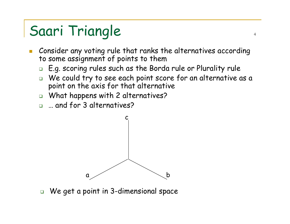- $\mathcal{L}_{\mathcal{A}}$ **EXTE: 20 Consider any voting rule that ranks the alternatives according** to some assignment of points to them
	- $\Box$ E.g. scoring rules such as the Borda rule or Plurality rule
	- $\Box$  We could try to see each point score for an alternative as a point on the axis for that alternative
	- What happens with 2 alternatives?
	- □ … and for 3 alternatives?



 $\Box$ We get a point in 3-dimensional space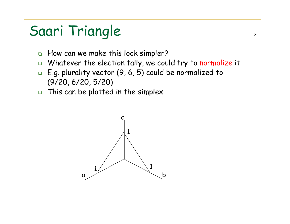- $\Box$ How can we make this look simpler?
- $\Box$ Whatever the election tally, we could try to normalize it
- E.g. plurality vector (9, 6, 5) could b e normalized to (9/20, 6/20, 5/20)
- $\Box$ This can be plotted in the simplex

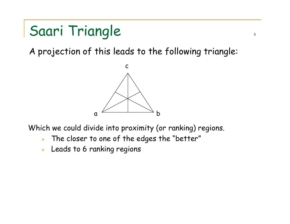A projection of this leads to the following triangle:



Which we could divide into proximity (or ranking) regions.

- $\blacktriangleright$  $\triangleright$  The closer to one of the edges the "better"
- $\blacktriangleright$ Leads to 6 ranking regions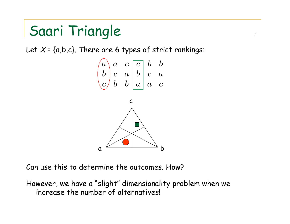Let  $\mathcal{X}$ = {a,b,c}. There are 6 types of strict rankings:



7

Can use this to determine the outcomes. How?

However, we have a "slight" dimensionality problem when we increase the number of alternatives!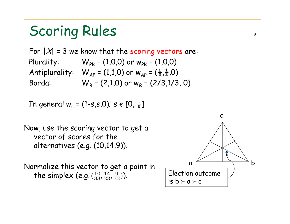### Scoring Rules states

For  $|X| = 3$  we know that the scoring vectors are: Plurality:  $W_{PR} = (1,0,0)$  or  $w_{PR} = (1,0,0)$ Antiplurality:  $W_{AP} = (1,1,0)$  or  $W_{AP} = (\frac{1}{2},\frac{1}{2},0)$ Borda:  $W_{\rm B}$  = (2,1,0) or  $w_{\rm B}$  = (2/3,1/3, 0)

In general  $w_s = (1-s,s,0)$ ; s  $\in [0, \frac{1}{2}]$ 

Now, use the scoring vector to get a vector of scores for the alternatives (e.g. (10,14,9)).

Normalize this vector to get a point in the simplex (e.g.  $(\frac{10}{33}, \frac{14}{33}, \frac{9}{33})$ ).

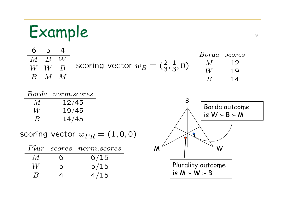## Example superiors of the set of the set of the set of the set of the set of the set of the set of the set of the set of the set of the set of the set of the set of the set of the set of the set of the set of the set of the

| $M$ $B$ $W$         | 54 |                                                  | Borda scores |  |
|---------------------|----|--------------------------------------------------|--------------|--|
|                     |    |                                                  |              |  |
| W W R               |    | scoring vector $w_B=(\frac{2}{3},\frac{1}{3},0)$ |              |  |
| $B \quad M \quad M$ |    |                                                  |              |  |

|                    | Borda norm.scores |
|--------------------|-------------------|
| M                  | 12/45             |
| W                  | 19/45             |
| $\bm{\mathcal{B}}$ | 14/45             |

scoring vector  $w_{PR} = (1, 0, 0)$ 

|                    |   | Plur scores norm.scores |
|--------------------|---|-------------------------|
| $\overline{M}$     | h | 6/15                    |
| W                  | 5 | 5/15                    |
| $\bm{\mathcal{B}}$ | 4 | 4/15                    |

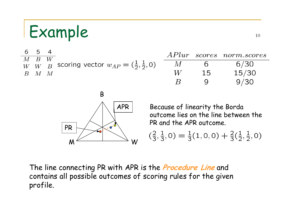## Example 10

6 5  $\overline{4}$  $APlur$ scores norm.scores  $\overline{B}$  $\overline{W}$  $\overline{M}$ scoring vector  $w_{AP} = (\frac{1}{2}, \frac{1}{2}, 0)$  $6/30$  $M$ 6  $W$   $B$  $W$  $15/30$  $W_{\cdot}$ 15  $\overline{B}$  $\overline{M}$  $\overline{M}$  $9/30$  $\overline{B}$ 9



Because of linearity the Borda outcome lies on the line between the PR and the APR outcome.

$$
(\frac{2}{3}, \frac{1}{3}, 0) = \frac{1}{3}(1, 0, 0) + \frac{2}{3}(\frac{1}{2}, \frac{1}{2}, 0)
$$

The line connecting PR with APR is the **Procedure Line** and contains all possible outcomes of scoring rules for the given profile.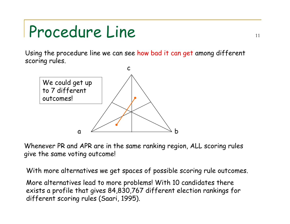## Procedure Line 11

Using the procedure line we can see how bad it can get among different scoring rules.



Whenever PR and APR are in the same ranking region, ALL scoring rules give the same voting outcome!

With more alternatives we get spaces of possible scoring rule outco mes.

More alternatives lead to more problems! With 10 candidates there exists a profile that gives 84,830,767 different election rankings for different scoring rules (Sa ari, 1995).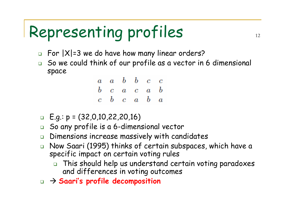# Representing profiles 12

- $\Box$  For  $|X|$ =3 we do have how many linear orders?
- So we could think of our profile as a vector in 6 dimensional space

| $a \quad a \quad b \quad b \quad c \quad c$ |  |  |
|---------------------------------------------|--|--|
| $b$ c a c a b                               |  |  |
| $c\quad b\quad c\quad a\quad b\quad a$      |  |  |

- E.g.: p = (32,0,10,22,20,16)
- $\Box$ So any profile is a 6-dimensional vector
- $\Box$ Dimensions increase massively with candidates
- $\Box$  Now Saari (1995) thinks of certain subspaces, which have a specific impact on certain voting rules
	- $\Box$  This should help us und erstand certain voting paradoxes and differences in voting outcomes
- $\Box\ \to$  Saari's profile decomposition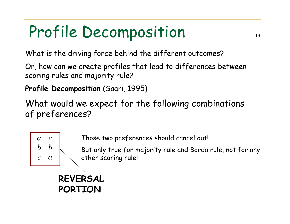What is the driving force behind the different outcomes?

Or, how can we create profiles that lead to differences between scoring rules and majority rule?

**Profile Decomposition** (Saari, 1995)

What would we expect for the following combinations of preferences?



Those two preferences should cancel out!

But only true for majority rule and Borda rule, not for any other scoring rule!

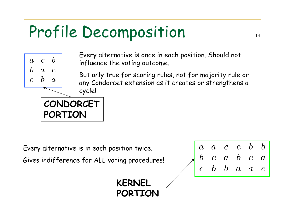

**PORTION**

Every alternative is once in each position. Should not influence the voting outcome.

But only true for scoring rules, not for majority rule or any Condorcet extension as it creates or strengthens a cycle!

Every alternative is in each position twice.

Gives indifference for ALL voting procedures!



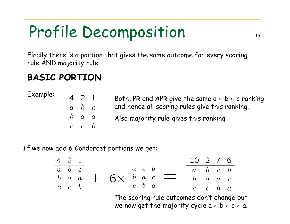Finally there is a portion that gives the same outco me for every scoring rule AND majority rule!

#### **BASIC PORTION**

| 421             |                |
|-----------------|----------------|
| $b_{\parallel}$ | $\overline{c}$ |
| $\overline{a}$  | $\bm{a}$       |
| $\overline{c}$  | $b \$          |
|                 |                |

- Example:  $\begin{array}{cccc} \texttt{4} & \texttt{2} & \texttt{1} & \texttt{Both}, \texttt{PR} \texttt{ and } \texttt{APR} \texttt{ give the same } \texttt{a} \succ \texttt{b} \succ \texttt{c} \texttt{ ranking} \end{array}$ and hence all scoring rules give this ranki ng.
	- Also majority rule gives this ranking!

If we now add 6 Condorcet portions we get:

$$
\begin{array}{c|cccc}\n4 & 2 & 1 \\
\hline\na & b & c \\
b & a & a \\
c & c & b\n\end{array}\n\qquad\n\begin{array}{c|cccc}\n & a & c & b \\
\hline\na & c & b \\
c & b & a\n\end{array}\n\qquad\n\begin{array}{c|cccc}\n & 10 & 2 & 7 & 6 \\
\hline\na & b & c & b \\
b & a & a & c \\
c & c & b & a\n\end{array}
$$

The scoring rule outcomes don't change but we now get the majority cycle  $\mathtt{a}\succ\mathtt{b}\succ\mathtt{c}\succ\mathtt{a}.$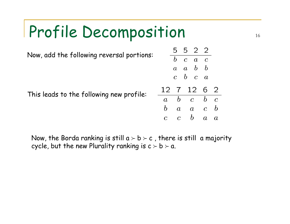

Now, the Borda ranking is still a  $\succ$  b  $\succ$  c , there is still  $\,$  a majority  $\,$ cycle, but the new Plurality ranking is  $\mathsf{c}\succ \mathsf{b}\succ \mathsf{a}.$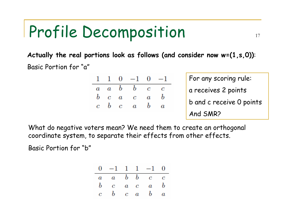**Actually the real portions look as follows (and consider now w=(1,s,0))**: Basic Portion for "a"

|  | $1 \t1 \t0 \t -1 \t0 \t -1$     |                  |
|--|---------------------------------|------------------|
|  | $a\ a\ b\ \ b\ \ c\ \ c$        |                  |
|  | $b$ c $a$ c $a$                 | b                |
|  | $c\quad b\quad c\quad a\quad b$ | $\boldsymbol{a}$ |
|  |                                 |                  |

For any scoring rule: a receives 2 points b and c receive 0 points And SMR?

What do negative voters mean? We need them to create a n orthogonal coordinate system, to separate their effects from other effects.

Basic Portion for "b"

| $0 \quad -1 \quad 1 \quad 1 \quad -1 \quad 0$ |  |  |
|-----------------------------------------------|--|--|
| $a \quad a \quad b \quad b \quad c \quad c$   |  |  |
| $b \quad c \quad a \quad c \quad a \quad b$   |  |  |
| $c \quad b \quad c \quad a \quad b \quad a$   |  |  |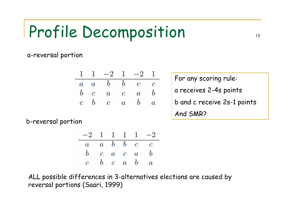a-reversal portion

|  | $1 \t1 \t-2 \t1 \t-2 \t1$                   |  |  |
|--|---------------------------------------------|--|--|
|  | $a \quad a \quad b \quad b \quad c \quad c$ |  |  |
|  | $b$ c a c a b                               |  |  |
|  | $c\quad b\quad c\quad a\quad b\quad a$      |  |  |

For any scoring rule: a receives 2-4s points b and c receive 2s-1 points And SMR?

b-reversal portion

| $-2$ 1 1 1 1 $-2$                           |  |  |                                             |
|---------------------------------------------|--|--|---------------------------------------------|
| $a \quad a \quad b \quad b \quad c \quad c$ |  |  |                                             |
|                                             |  |  | $b$ c a c a b                               |
|                                             |  |  | $c \quad b \quad c \quad a \quad b \quad a$ |

ALL possible differences in 3-alternatives elections are caused by reversal portions (Saari, 1999)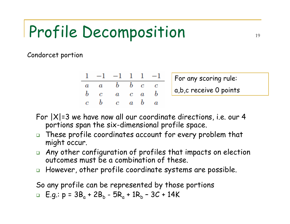Condorcet portion

|  | $1 -1 -1 1 1 -1$                            |  |  |
|--|---------------------------------------------|--|--|
|  | $a \quad a \quad b \quad b \quad c \quad c$ |  |  |
|  | $b$ c $a$ c $a$ b                           |  |  |
|  | $c$ b $c$ a b $a$                           |  |  |

For any scoring rule: a,b,c receive 0 points

- For  $|X|=3$  we have now all our coordinate directions, i.e. our 4 portions span the six-dimensional profile space.
- $\Box$  These profile coordinates account for every problem that might occur.
- $\Box$  Any other configuration of profiles that impacts on election outcomes m ust be a combination of these.
- $\Box$ However, other profile coordinate systems are possible.

So any profile can be represented by those portions

 $\Box$  E.g.:  $p = 3B_a + 2B_b - 5R_a + 1R_b - 3C + 14K$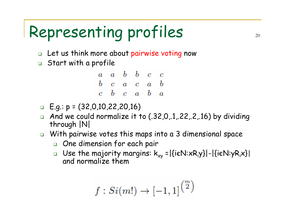# Representing profiles 20

- $\Box$  Let us think more about pairwise voting now
- Start with a profile



- E.g.: p = (32,0,10,22,20,16)
- $\Box$ And we could normalize it to (.32,0,.1,.22,.2,.16) by dividing through |N|
- $\Box$  With pairwise votes this maps into a 3 dimensional space
	- One dimension for each pair
	- $\Box$  Use the majority margins:  $k_{xy} = |\{i \in N : xR_iy\}| |\{i \in N : yR_ix\}|$ and normalize them

$$
f: Si(m!) \rightarrow [-1,1]^{m \choose 2}
$$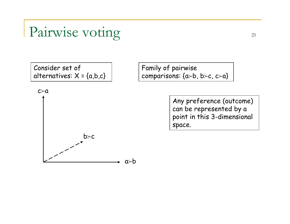#### Pairwise voting 21

Consider set of alternatives:  $X = \{a,b,c\}$ 



Family of pairwise comparisons: {a≻b, b≻c, c≻a}

> Any preference (outcome) can be represented by a point in this 3-dimensional space.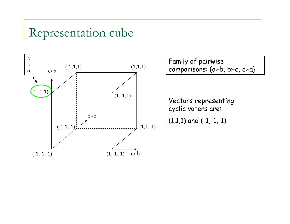

Family of pairwise

Vectors representing cyclic voters are:

 $(1,1,1)$  and  $(-1,-1,-1)$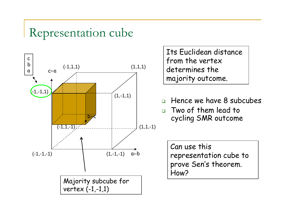

Its Euclidean distance from the vertex determines the majority outcome.

- $\Box$ Hence we have 8 subcubes
- Two of them lead to cycling SMR outcome

Can use this representation cube to prove Sen's theorem. How?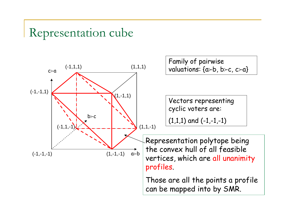

Family of pairwise

Vectors representing cyclic voters are:

 $(1,1,1)$  and  $(-1,-1,-1)$ 

Representation polytope being the convex hull of all feasible vertices, which are all unanimity profiles.

Those are all the points a profile can be mapped into by SMR.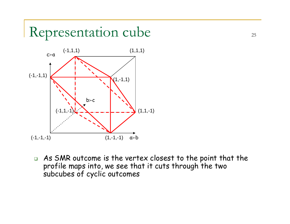

 $\Box$  As SMR outcome is the vertex closest to the point that the profile maps into, we see that it cuts through the two subcubes of cyclic outcomes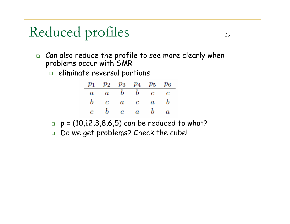### Reduced profiles 26

- $\Box$  $\Box$  Can also reduce the profile to see more clearly when problems occur with SMR
	- $\Box$  eliminate reversal portions

|                                             |  | $p_1$ $p_2$ $p_3$ $p_4$ $p_5$ $p_6$ |
|---------------------------------------------|--|-------------------------------------|
| $a \quad a \quad b \quad b \quad c \quad c$ |  |                                     |
| $b$ c a c a b                               |  |                                     |
| $c \quad b \quad c \quad a \quad b \quad a$ |  |                                     |

- $\Box$ p = (10,12,3,8,6,5) can be reduced to what?
- $\Box$  $\Box$  Do we get problems? Check the cube!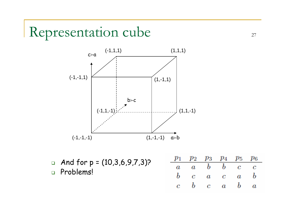

 $\Box$  And for p = (10,3,6,9,7,3)? Problems!

| $p_1$ $p_2$ $p_3$ $p_4$ $p_5$ $p_6$         |  |                                             |  |
|---------------------------------------------|--|---------------------------------------------|--|
| $a \quad a \quad b \quad b \quad c \quad c$ |  |                                             |  |
|                                             |  | $b$ c a c a b                               |  |
|                                             |  | $c \quad b \quad c \quad a \quad b \quad a$ |  |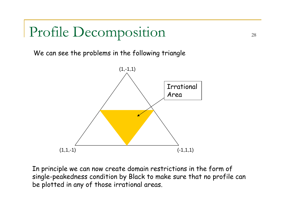We can see the pro blems in the following triangle



In principle we can now create domain restrictions in the form of single-peakedness condition by Black to make sure tha t no profile can be plotted in any of those irrational areas.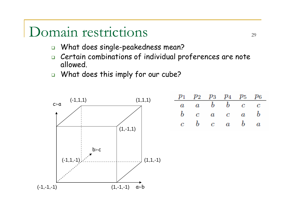#### Domain restrictions 29

- $\Box$ What does single-peakedness mean?
- $\Box$  Certain combinations of individual proferences are note allowed.
- What does this imply for our cube?

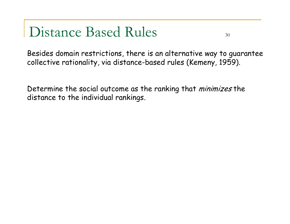#### Distance Based Rules 30

Besides domain restrictions, there is an alternative way to guarantee collective rationality, via distance-based rules (Kemeny, 1959).

Determine the social outcome as the ranking that *minimizes* the distance to the individual rankings.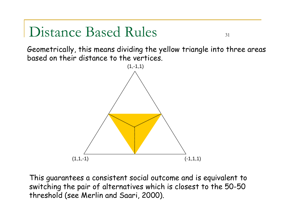#### Distance Based Rules 31

Geometrically, this means dividing the yellow triangle into three areas based on their distance to the vertices.



This guarantees a consistent social outco me and is equivalent to switching the pair of alternatives which is closest to the 50-50 threshold (see Merlin and Saari, 2000).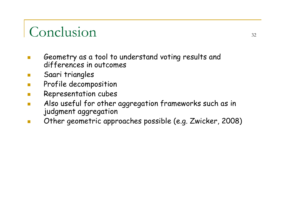#### Conclusion 32

- **Ta**  Geometry as a tool to understand voting results and differences in outcomes
- Saari triangles
- **I** Profile decomposition
- $\mathbb{R}^n$ Representation cubes
- $\mathbb{R}^n$  Also useful for other aggregation frameworks such as in judgment aggregation
- **The State** Other geometric approaches possible (e.g. Zwicker, 2008)